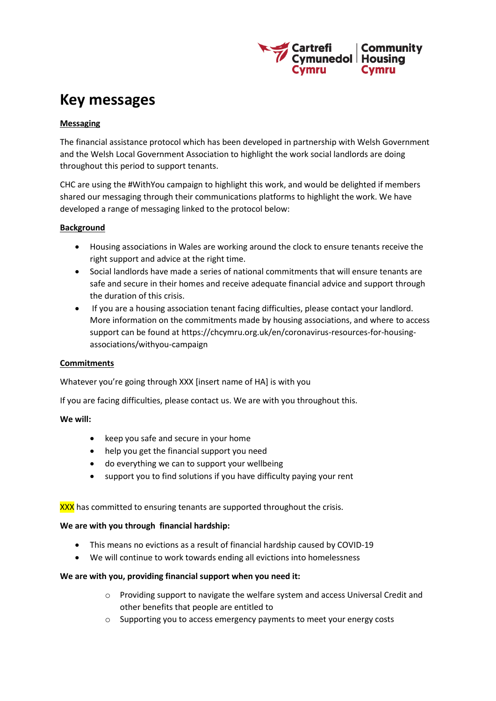

# **Key messages**

# **Messaging**

The financial assistance protocol which has been developed in partnership with Welsh Government and the Welsh Local Government Association to highlight the work social landlords are doing throughout this period to support tenants.

CHC are using the #WithYou campaign to highlight this work, and would be delighted if members shared our messaging through their communications platforms to highlight the work. We have developed a range of messaging linked to the protocol below:

## **Background**

- Housing associations in Wales are working around the clock to ensure tenants receive the right support and advice at the right time.
- Social landlords have made a series of national commitments that will ensure tenants are safe and secure in their homes and receive adequate financial advice and support through the duration of this crisis.
- If you are a housing association tenant facing difficulties, please contact your landlord. More information on the commitments made by housing associations, and where to access support can be found at [https://chcymru.org.uk/en/coronavirus-resources-for-housing](https://chcymru.org.uk/en/coronavirus-resources-for-housing-associations/withyou-campaign)[associations/withyou-campaign](https://chcymru.org.uk/en/coronavirus-resources-for-housing-associations/withyou-campaign)

### **Commitments**

Whatever you're going through XXX [insert name of HA] is with you

If you are facing difficulties, please contact us. We are with you throughout this.

### **We will:**

- keep you safe and secure in your home
- help you get the financial support you need
- do everything we can to support your wellbeing
- support you to find solutions if you have difficulty paying your rent

### XXX has committed to ensuring tenants are supported throughout the crisis.

### **We are with you through financial hardship:**

- This means no evictions as a result of financial hardship caused by COVID-19
- We will continue to work towards ending all evictions into homelessness

### **We are with you, providing financial support when you need it:**

- o Providing support to navigate the welfare system and access Universal Credit and other benefits that people are entitled to
- o Supporting you to access emergency payments to meet your energy costs